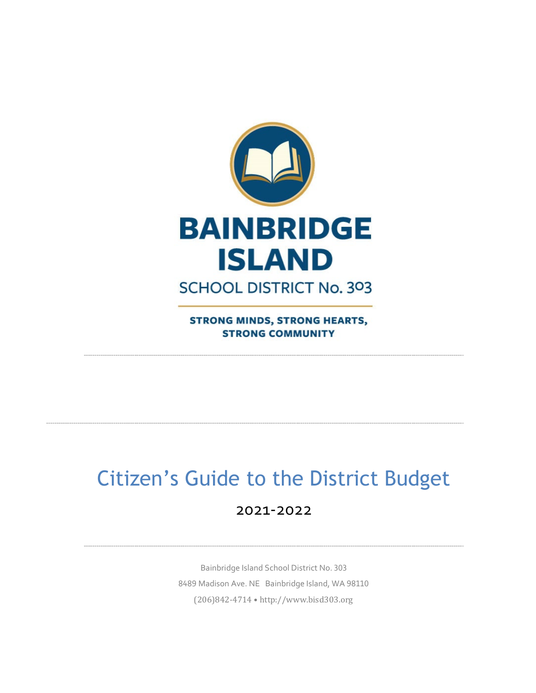

**STRONG MINDS, STRONG HEARTS, STRONG COMMUNITY** 

# Citizen's Guide to the District Budget

# 2021-2022

Bainbridge Island School District No. 303 8489 Madison Ave. NE Bainbridge Island, WA 98110 (206)842-4714 • http://www.bisd303.org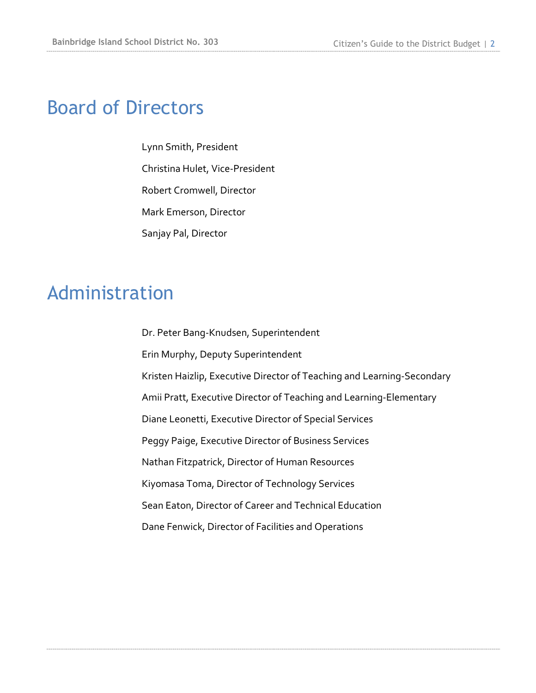# Board of Directors

Lynn Smith, President Christina Hulet, Vice-President Robert Cromwell, Director Mark Emerson, Director Sanjay Pal, Director

# Administration

Dr. Peter Bang-Knudsen, Superintendent Erin Murphy, Deputy Superintendent Kristen Haizlip, Executive Director of Teaching and Learning-Secondary Amii Pratt, Executive Director of Teaching and Learning-Elementary Diane Leonetti, Executive Director of Special Services Peggy Paige, Executive Director of Business Services Nathan Fitzpatrick, Director of Human Resources Kiyomasa Toma, Director of Technology Services Sean Eaton, Director of Career and Technical Education Dane Fenwick, Director of Facilities and Operations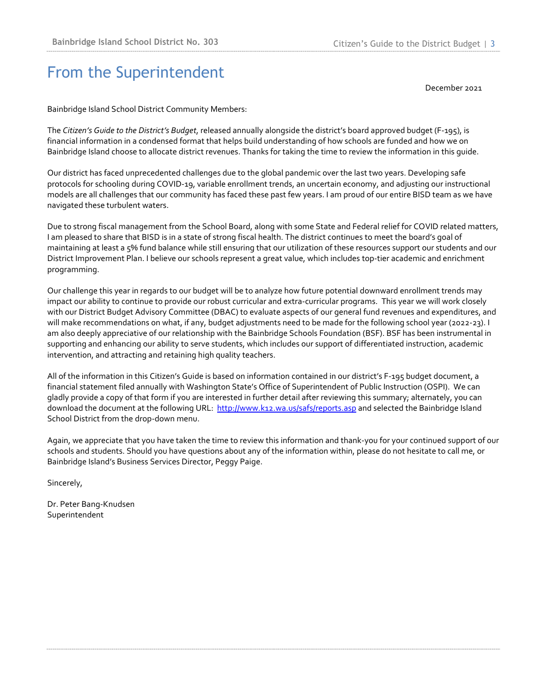# From the Superintendent

December 2021

Bainbridge Island School District Community Members:

The *Citizen's Guide to the District's Budget*, released annually alongside the district's board approved budget (F-195), is financial information in a condensed format that helps build understanding of how schools are funded and how we on Bainbridge Island choose to allocate district revenues. Thanks for taking the time to review the information in this guide.

Our district has faced unprecedented challenges due to the global pandemic over the last two years. Developing safe protocols for schooling during COVID-19, variable enrollment trends, an uncertain economy, and adjusting our instructional models are all challenges that our community has faced these past few years. I am proud of our entire BISD team as we have navigated these turbulent waters.

Due to strong fiscal management from the School Board, along with some State and Federal relief for COVID related matters, I am pleased to share that BISD is in a state of strong fiscal health. The district continues to meet the board's goal of maintaining at least a 5% fund balance while still ensuring that our utilization of these resources support our students and our District Improvement Plan. I believe our schools represent a great value, which includes top-tier academic and enrichment programming.

Our challenge this year in regards to our budget will be to analyze how future potential downward enrollment trends may impact our ability to continue to provide our robust curricular and extra-curricular programs. This year we will work closely with our District Budget Advisory Committee (DBAC) to evaluate aspects of our general fund revenues and expenditures, and will make recommendations on what, if any, budget adjustments need to be made for the following school year (2022-23). I am also deeply appreciative of our relationship with the Bainbridge Schools Foundation (BSF). BSF has been instrumental in supporting and enhancing our ability to serve students, which includes our support of differentiated instruction, academic intervention, and attracting and retaining high quality teachers.

All of the information in this Citizen's Guide is based on information contained in our district's F-195 budget document, a financial statement filed annually with Washington State's Office of Superintendent of Public Instruction (OSPI). We can gladly provide a copy of that form if you are interested in further detail after reviewing this summary; alternately, you can download the document at the following URL: <http://www.k12.wa.us/safs/reports.asp> and selected the Bainbridge Island School District from the drop-down menu.

Again, we appreciate that you have taken the time to review this information and thank-you for your continued support of our schools and students. Should you have questions about any of the information within, please do not hesitate to call me, or Bainbridge Island's Business Services Director, Peggy Paige.

Sincerely,

Dr. Peter Bang-Knudsen Superintendent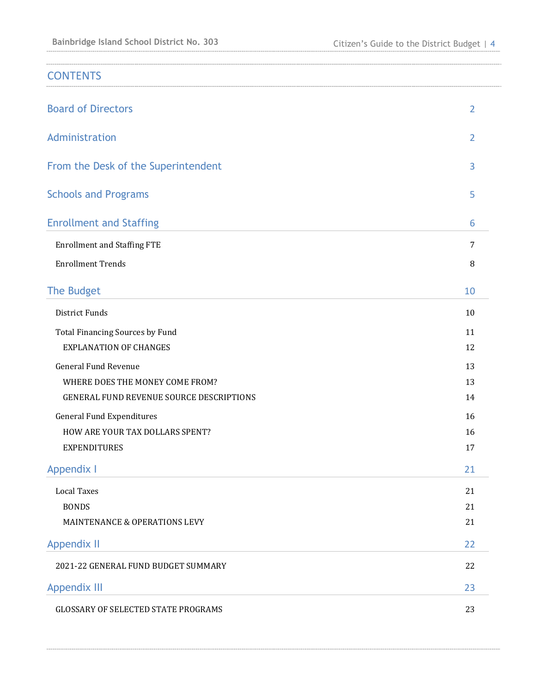| <b>CONTENTS</b>                            |                |
|--------------------------------------------|----------------|
| <b>Board of Directors</b>                  | $\overline{2}$ |
| Administration                             | $\overline{2}$ |
| From the Desk of the Superintendent        | 3              |
| <b>Schools and Programs</b>                | 5              |
| <b>Enrollment and Staffing</b>             | 6              |
| <b>Enrollment and Staffing FTE</b>         | 7              |
| <b>Enrollment Trends</b>                   | 8              |
| The Budget                                 | 10             |
| <b>District Funds</b>                      | 10             |
| Total Financing Sources by Fund            | 11             |
| <b>EXPLANATION OF CHANGES</b>              | 12             |
| <b>General Fund Revenue</b>                | 13             |
| WHERE DOES THE MONEY COME FROM?            | 13             |
| GENERAL FUND REVENUE SOURCE DESCRIPTIONS   | 14             |
| <b>General Fund Expenditures</b>           | 16             |
| HOW ARE YOUR TAX DOLLARS SPENT?            | 16             |
| <b>EXPENDITURES</b>                        | 17             |
| <b>Appendix I</b>                          | 21             |
| <b>Local Taxes</b>                         | 21             |
| <b>BONDS</b>                               | 21             |
| MAINTENANCE & OPERATIONS LEVY              | 21             |
| <b>Appendix II</b>                         | 22             |
| 2021-22 GENERAL FUND BUDGET SUMMARY        | 22             |
| <b>Appendix III</b>                        | 23             |
| <b>GLOSSARY OF SELECTED STATE PROGRAMS</b> | 23             |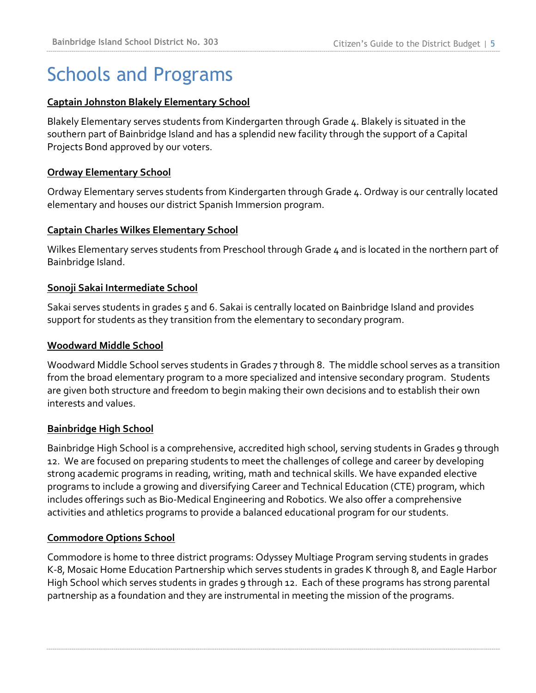# Schools and Programs

#### **Captain Johnston Blakely Elementary School**

Blakely Elementary serves students from Kindergarten through Grade 4. Blakely is situated in the southern part of Bainbridge Island and has a splendid new facility through the support of a Capital Projects Bond approved by our voters.

### **Ordway Elementary School**

Ordway Elementary serves students from Kindergarten through Grade 4. Ordway is our centrally located elementary and houses our district Spanish Immersion program.

### **Captain Charles Wilkes Elementary School**

Wilkes Elementary serves students from Preschool through Grade  $4$  and is located in the northern part of Bainbridge Island.

### **Sonoji Sakai Intermediate School**

Sakai serves students in grades 5 and 6. Sakai is centrally located on Bainbridge Island and provides support for students as they transition from the elementary to secondary program.

#### **Woodward Middle School**

Woodward Middle School serves students in Grades 7 through 8. The middle school serves as a transition from the broad elementary program to a more specialized and intensive secondary program. Students are given both structure and freedom to begin making their own decisions and to establish their own interests and values.

#### **Bainbridge High School**

Bainbridge High School is a comprehensive, accredited high school, serving students in Grades 9 through 12. We are focused on preparing students to meet the challenges of college and career by developing strong academic programs in reading, writing, math and technical skills. We have expanded elective programs to include a growing and diversifying Career and Technical Education (CTE) program, which includes offerings such as Bio-Medical Engineering and Robotics. We also offer a comprehensive activities and athletics programs to provide a balanced educational program for our students.

#### **Commodore Options School**

Commodore is home to three district programs: Odyssey Multiage Program serving students in grades K-8, Mosaic Home Education Partnership which serves students in grades K through 8, and Eagle Harbor High School which serves students in grades 9 through 12. Each of these programs has strong parental partnership as a foundation and they are instrumental in meeting the mission of the programs.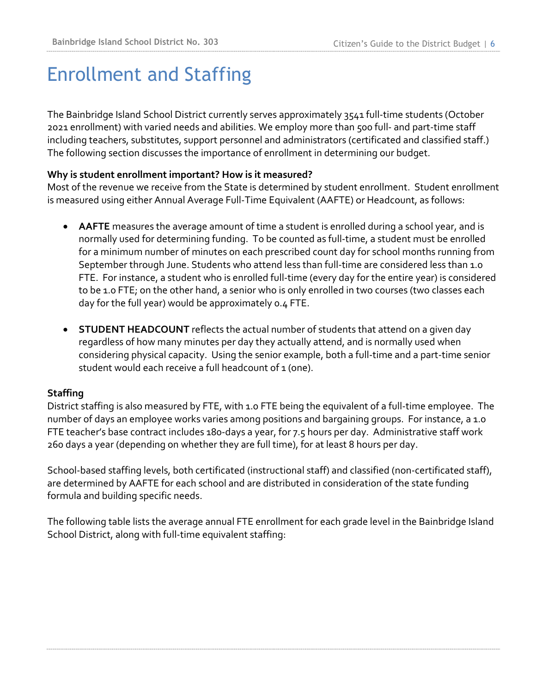# Enrollment and Staffing

The Bainbridge Island School District currently serves approximately 3541 full-time students (October 2021 enrollment) with varied needs and abilities. We employ more than 500 full- and part-time staff including teachers, substitutes, support personnel and administrators (certificated and classified staff.) The following section discusses the importance of enrollment in determining our budget.

### **Why is student enrollment important? How is it measured?**

Most of the revenue we receive from the State is determined by student enrollment. Student enrollment is measured using either Annual Average Full-Time Equivalent (AAFTE) or Headcount, as follows:

- **AAFTE** measures the average amount of time a student is enrolled during a school year, and is normally used for determining funding. To be counted as full-time, a student must be enrolled for a minimum number of minutes on each prescribed count day for school months running from September through June. Students who attend less than full-time are considered less than 1.0 FTE. For instance, a student who is enrolled full-time (every day for the entire year) is considered to be 1.0 FTE; on the other hand, a senior who is only enrolled in two courses (two classes each day for the full year) would be approximately 0.4 FTE.
- **STUDENT HEADCOUNT** reflects the actual number of students that attend on a given day regardless of how many minutes per day they actually attend, and is normally used when considering physical capacity. Using the senior example, both a full-time and a part-time senior student would each receive a full headcount of 1 (one).

## **Staffing**

District staffing is also measured by FTE, with 1.0 FTE being the equivalent of a full-time employee. The number of days an employee works varies among positions and bargaining groups. For instance, a 1.0 FTE teacher's base contract includes 180-days a year, for 7.5 hours per day. Administrative staff work 260 days a year (depending on whether they are full time), for at least 8 hours per day.

School-based staffing levels, both certificated (instructional staff) and classified (non-certificated staff), are determined by AAFTE for each school and are distributed in consideration of the state funding formula and building specific needs.

The following table lists the average annual FTE enrollment for each grade level in the Bainbridge Island School District, along with full-time equivalent staffing: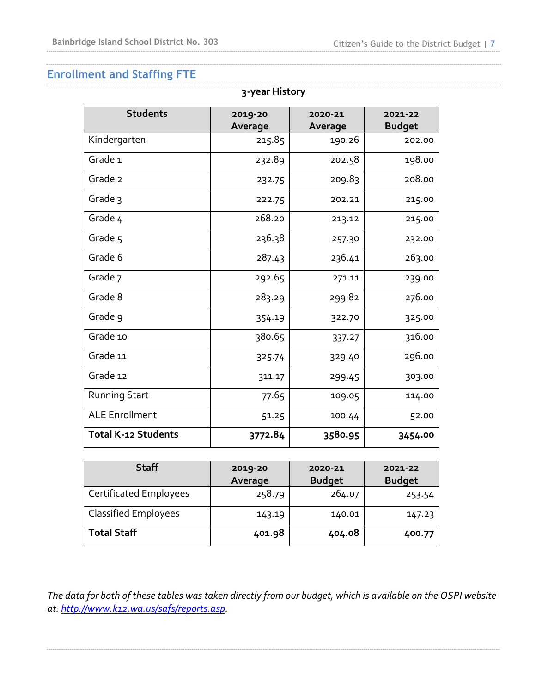# **Enrollment and Staffing FTE**

| 3-year History             |                    |                    |                          |  |
|----------------------------|--------------------|--------------------|--------------------------|--|
| <b>Students</b>            | 2019-20<br>Average | 2020-21<br>Average | 2021-22<br><b>Budget</b> |  |
| Kindergarten               | 215.85             | 190.26             | 202.00                   |  |
| Grade <sub>1</sub>         | 232.89             | 202.58             | 198.00                   |  |
| Grade 2                    | 232.75             | 209.83             | 208.00                   |  |
| Grade 3                    | 222.75             | 202.21             | 215.00                   |  |
| Grade 4                    | 268.20             | 213.12             | 215.00                   |  |
| Grade 5                    | 236.38             | 257.30             | 232.00                   |  |
| Grade 6                    | 287.43             | 236.41             | 263.00                   |  |
| Grade 7                    | 292.65             | 271.11             | 239.00                   |  |
| Grade 8                    | 283.29             | 299.82             | 276.00                   |  |
| Grade 9                    | 354.19             | 322.70             | 325.00                   |  |
| Grade 10                   | 380.65             | 337.27             | 316.00                   |  |
| Grade 11                   | 325.74             | 329.40             | 296.00                   |  |
| Grade 12                   | 311.17             | 299.45             | 303.00                   |  |
| <b>Running Start</b>       | 77.65              | 109.05             | 114.00                   |  |
| <b>ALE Enrollment</b>      | 51.25              | 100.44             | 52.00                    |  |
| <b>Total K-12 Students</b> | 3772.84            | 3580.95            | 3454.00                  |  |

| <b>Staff</b>                  | 2019-20<br>Average | 2020-21<br><b>Budget</b> | 2021-22<br><b>Budget</b> |
|-------------------------------|--------------------|--------------------------|--------------------------|
| <b>Certificated Employees</b> | 258.79             | 264.07                   | 253.54                   |
| <b>Classified Employees</b>   | 143.19             | 140.01                   | 147.23                   |
| <b>Total Staff</b>            | 401.98             | 404.08                   | 400.77                   |

*The data for both of these tables was taken directly from our budget, which is available on the OSPI website at: [http://www.k12.wa.us/safs/reports.asp.](http://www.k12.wa.us/safs/reports.asp)*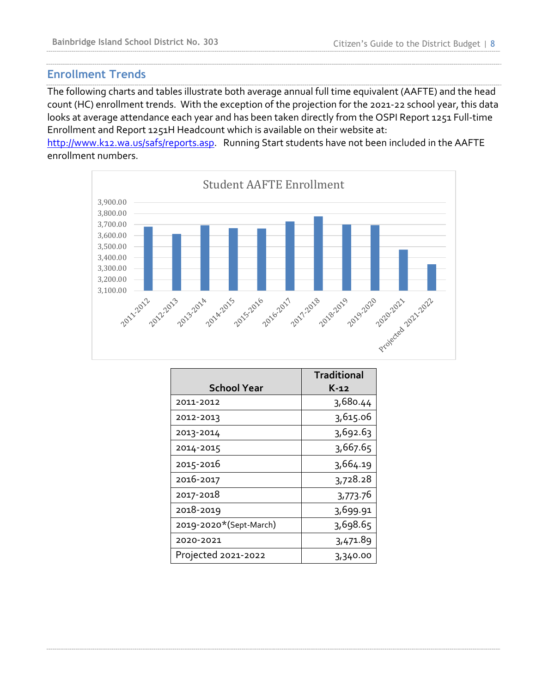## **Enrollment Trends**

The following charts and tables illustrate both average annual full time equivalent (AAFTE) and the head count (HC) enrollment trends. With the exception of the projection for the 2021-22 school year, this data looks at average attendance each year and has been taken directly from the OSPI Report 1251 Full-time Enrollment and Report 1251H Headcount which is available on their website at:

[http://www.k12.wa.us/safs/reports.asp.](http://www.k12.wa.us/safs/reports.asp) Running Start students have not been included in the AAFTE enrollment numbers.



|                        | <b>Traditional</b> |
|------------------------|--------------------|
| <b>School Year</b>     | K-12               |
| 2011-2012              | 3,680.44           |
| 2012-2013              | 3,615.06           |
| 2013-2014              | 3,692.63           |
| 2014-2015              | 3,667.65           |
| 2015-2016              | 3,664.19           |
| 2016-2017              | 3,728.28           |
| 2017-2018              | 3,773.76           |
| 2018-2019              | 3,699.91           |
| 2019-2020*(Sept-March) | 3,698.65           |
| 2020-2021              | 3,471.89           |
| Projected 2021-2022    | 3,340.00           |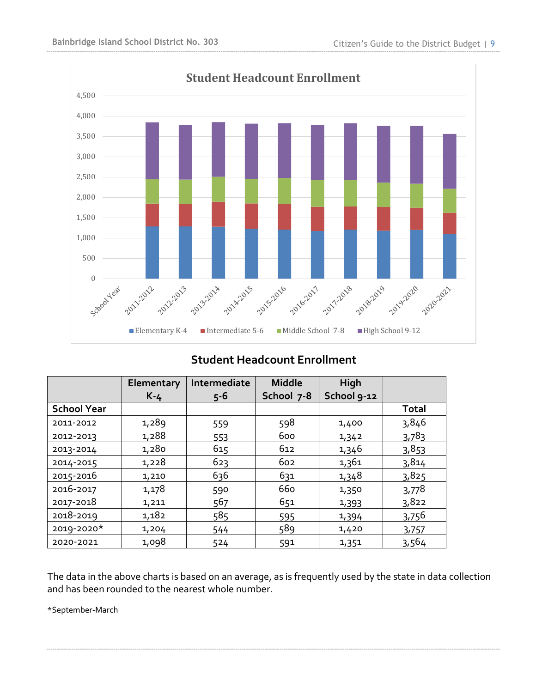

## **Student Headcount Enrollment**

|                    | Elementary | Intermediate | <b>Middle</b> | High        |              |
|--------------------|------------|--------------|---------------|-------------|--------------|
|                    | $K-4$      | $5 - 6$      | School 7-8    | School 9-12 |              |
| <b>School Year</b> |            |              |               |             | <b>Total</b> |
| 2011-2012          | 1,289      | 559          | 598           | 1,400       | 3,846        |
| 2012-2013          | 1,288      | 553          | 600           | 1,342       | 3,783        |
| 2013-2014          | 1,280      | 615          | 612           | 1,346       | 3,853        |
| 2014-2015          | 1,228      | 623          | 602           | 1,361       | 3,814        |
| 2015-2016          | 1,210      | 636          | 631           | 1,348       | 3,825        |
| 2016-2017          | 1,178      | 590          | 660           | 1,350       | 3,778        |
| 2017-2018          | 1,211      | 567          | 651           | 1,393       | 3,822        |
| 2018-2019          | 1,182      | 585          | 595           | 1,394       | 3,756        |
| 2019-2020*         | 1,204      | 544          | 589           | 1,420       | 3,757        |
| 2020-2021          | 1,098      | 524          | 591           | 1,351       | 3,564        |

The data in the above charts is based on an average, as is frequently used by the state in data collection and has been rounded to the nearest whole number.

\*September-March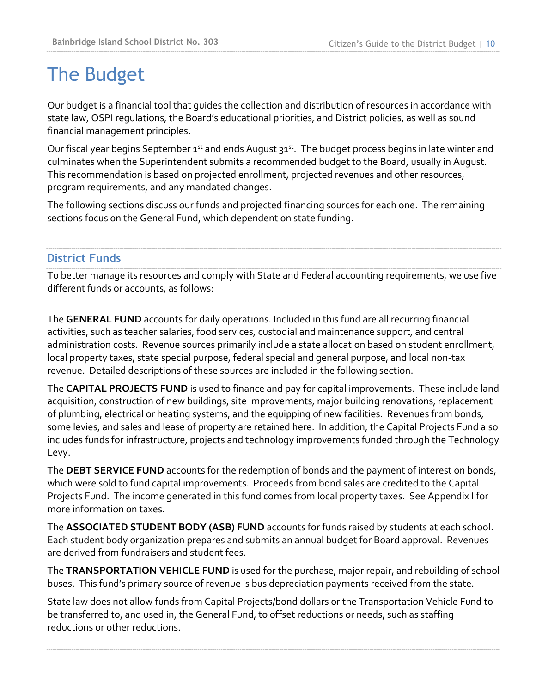# The Budget

Our budget is a financial tool that guides the collection and distribution of resources in accordance with state law, OSPI regulations, the Board's educational priorities, and District policies, as well as sound financial management principles.

Our fiscal year begins September  $1^{st}$  and ends August  $31^{st}$ . The budget process begins in late winter and culminates when the Superintendent submits a recommended budget to the Board, usually in August. This recommendation is based on projected enrollment, projected revenues and other resources, program requirements, and any mandated changes.

The following sections discuss our funds and projected financing sources for each one. The remaining sections focus on the General Fund, which dependent on state funding.

## **District Funds**

To better manage its resources and comply with State and Federal accounting requirements, we use five different funds or accounts, as follows:

The **GENERAL FUND** accounts for daily operations. Included in this fund are all recurring financial activities, such as teacher salaries, food services, custodial and maintenance support, and central administration costs. Revenue sources primarily include a state allocation based on student enrollment, local property taxes, state special purpose, federal special and general purpose, and local non-tax revenue. Detailed descriptions of these sources are included in the following section.

The **CAPITAL PROJECTS FUND** is used to finance and pay for capital improvements. These include land acquisition, construction of new buildings, site improvements, major building renovations, replacement of plumbing, electrical or heating systems, and the equipping of new facilities. Revenues from bonds, some levies, and sales and lease of property are retained here. In addition, the Capital Projects Fund also includes funds for infrastructure, projects and technology improvements funded through the Technology Levy.

The **DEBT SERVICE FUND** accounts for the redemption of bonds and the payment of interest on bonds, which were sold to fund capital improvements. Proceeds from bond sales are credited to the Capital Projects Fund. The income generated in this fund comes from local property taxes. See Appendix I for more information on taxes.

The **ASSOCIATED STUDENT BODY (ASB) FUND** accounts for funds raised by students at each school. Each student body organization prepares and submits an annual budget for Board approval. Revenues are derived from fundraisers and student fees.

The **TRANSPORTATION VEHICLE FUND** is used for the purchase, major repair, and rebuilding of school buses. This fund's primary source of revenue is bus depreciation payments received from the state.

State law does not allow funds from Capital Projects/bond dollars or the Transportation Vehicle Fund to be transferred to, and used in, the General Fund, to offset reductions or needs, such as staffing reductions or other reductions.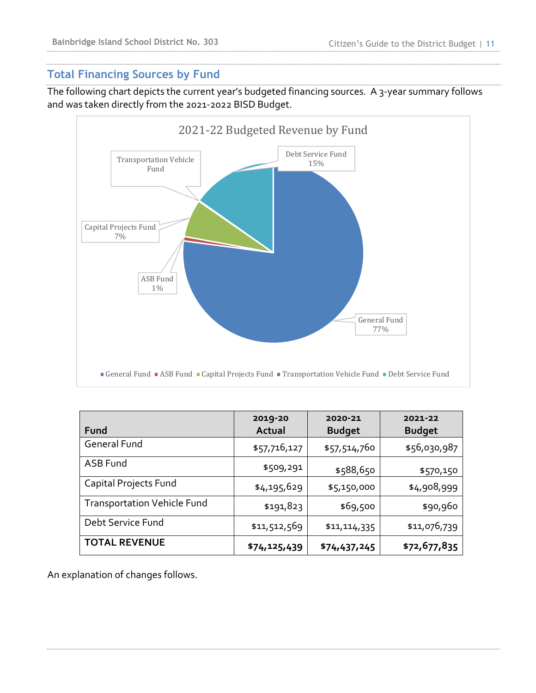## **Total Financing Sources by Fund**

The following chart depicts the current year's budgeted financing sources. A 3-year summary follows and was taken directly from the 2021-2022 BISD Budget.



| Fund                               | 2019-20<br>Actual | 2020-21<br><b>Budget</b> | 2021-22<br><b>Budget</b> |
|------------------------------------|-------------------|--------------------------|--------------------------|
| <b>General Fund</b>                | \$57,716,127      | \$57,514,760             | \$56,030,987             |
| ASB Fund                           | \$509,291         | \$588,650                | \$570,150                |
| Capital Projects Fund              | \$4,195,629       | \$5,150,000              | \$4,908,999              |
| <b>Transportation Vehicle Fund</b> | \$191,823         | \$69,500                 | \$90,960                 |
| Debt Service Fund                  | \$11,512,569      | \$11,114,335             | \$11,076,739             |
| <b>TOTAL REVENUE</b>               | \$74,125,439      | \$74,437,245             | \$72,677,835             |

An explanation of changes follows.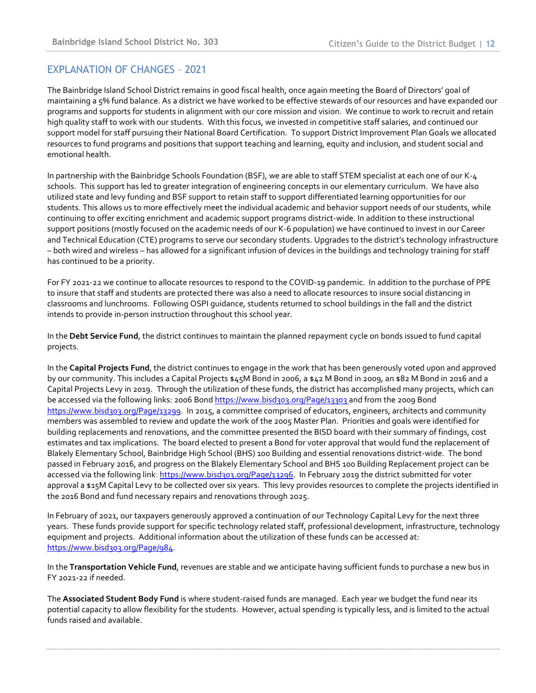#### EXPLANATION OF CHANGES – 2021

The Bainbridge Island School District remains in good fiscal health, once again meeting the Board of Directors' goal of maintaining a 5% fund balance. As a district we have worked to be effective stewards of our resources and have expanded our programs and supports for students in alignment with our core mission and vision. We continue to work to recruit and retain high quality staff to work with our students. With this focus, we invested in competitive staff salaries, and continued our support model for staff pursuing their National Board Certification. To support District Improvement Plan Goals we allocated resources to fund programs and positions that support teaching and learning, equity and inclusion, and student social and emotional health.

In partnership with the Bainbridge Schools Foundation (BSF), we are able to staff STEM specialist at each one of our K-4 schools. This support has led to greater integration of engineering concepts in our elementary curriculum. We have also utilized state and levy funding and BSF support to retain staff to support differentiated learning opportunities for our students. This allows us to more effectively meet the individual academic and behavior support needs of our students, while continuing to offer exciting enrichment and academic support programs district-wide. In addition to these instructional support positions (mostly focused on the academic needs of our K-6 population) we have continued to invest in our Career and Technical Education (CTE) programs to serve our secondary students. Upgrades to the district's technology infrastructure – both wired and wireless – has allowed for a significant infusion of devices in the buildings and technology training for staff has continued to be a priority.

For FY 2021-22 we continue to allocate resources to respond to the COVID-19 pandemic. In addition to the purchase of PPE to insure that staff and students are protected there was also a need to allocate resources to insure social distancing in classrooms and lunchrooms. Following OSPI guidance, students returned to school buildings in the fall and the district intends to provide in-person instruction throughout this school year.

In the **Debt Service Fund**, the district continues to maintain the planned repayment cycle on bonds issued to fund capital projects.

In the **Capital Projects Fund**, the district continues to engage in the work that has been generously voted upon and approved by our community. This includes a Capital Projects \$45M Bond in 2006, a \$42 M Bond in 2009, an \$82 M Bond in 2016 and a Capital Projects Levy in 2019. Through the utilization of these funds, the district has accomplished many projects, which can be accessed via the following links: 2006 Bon[d https://www.bisd303.org/Page/13303](https://www.bisd303.org/Page/13303) and from the 2009 Bond <https://www.bisd303.org/Page/13299>. In 2015, a committee comprised of educators, engineers, architects and community members was assembled to review and update the work of the 2005 Master Plan. Priorities and goals were identified for building replacements and renovations, and the committee presented the BISD board with their summary of findings, cost estimates and tax implications. The board elected to present a Bond for voter approval that would fund the replacement of Blakely Elementary School, Bainbridge High School (BHS) 100 Building and essential renovations district-wide. The bond passed in February 2016, and progress on the Blakely Elementary School and BHS 100 Building Replacement project can be accessed via the following link: <https://www.bisd303.org/Page/13296>. In February 2019 the district submitted for voter approval a \$15M Capital Levy to be collected over six years. This levy provides resources to complete the projects identified in the 2016 Bond and fund necessary repairs and renovations through 2025.

In February of 2021, our taxpayers generously approved a continuation of our Technology Capital Levy for the next three years. These funds provide support for specific technology related staff, professional development, infrastructure, technology equipment and projects. Additional information about the utilization of these funds can be accessed at: <https://www.bisd303.org/Page/984>.

In the **Transportation Vehicle Fund**, revenues are stable and we anticipate having sufficient funds to purchase a new bus in FY 2021-22 if needed.

The **Associated Student Body Fund** is where student-raised funds are managed. Each year we budget the fund near its potential capacity to allow flexibility for the students. However, actual spending is typically less, and is limited to the actual funds raised and available.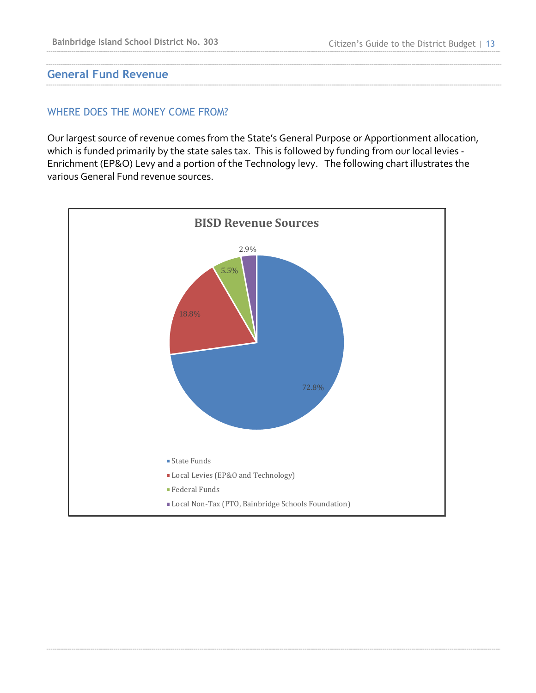#### **General Fund Revenue**

#### WHERE DOES THE MONEY COME FROM?

Our largest source of revenue comes from the State's General Purpose or Apportionment allocation, which is funded primarily by the state sales tax. This is followed by funding from our local levies - Enrichment (EP&O) Levy and a portion of the Technology levy. The following chart illustrates the various General Fund revenue sources.

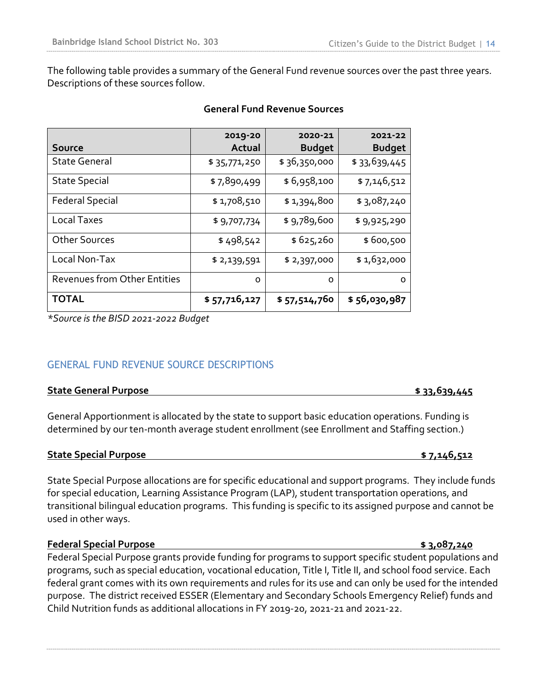The following table provides a summary of the General Fund revenue sources over the past three years. Descriptions of these sources follow.

|                              | 2019-20      | 2020-21       | 2021-22       |
|------------------------------|--------------|---------------|---------------|
| <b>Source</b>                | Actual       | <b>Budget</b> | <b>Budget</b> |
| <b>State General</b>         | \$35,771,250 | \$36,350,000  | \$33,639,445  |
| <b>State Special</b>         | \$7,890,499  | \$6,958,100   | \$7,146,512   |
| <b>Federal Special</b>       | \$1,708,510  | \$1,394,800   | \$3,087,240   |
| Local Taxes                  | \$9,707,734  | \$9,789,600   | \$9,925,290   |
| <b>Other Sources</b>         | \$498,542    | \$625,260     | \$600,500     |
| Local Non-Tax                | \$2,139,591  | \$2,397,000   | \$1,632,000   |
| Revenues from Other Entities | O            | O             | O             |
| <b>TOTAL</b>                 | \$57,716,127 | \$57,514,760  | \$56,030,987  |

#### **General Fund Revenue Sources**

*\*Source is the BISD 2021-2022 Budget*

## GENERAL FUND REVENUE SOURCE DESCRIPTIONS

#### **State General Purpose \$ 33,639,445**

General Apportionment is allocated by the state to support basic education operations. Funding is determined by our ten-month average student enrollment (see Enrollment and Staffing section.)

#### **State Special Purpose \$ 7,146,512**

State Special Purpose allocations are for specific educational and support programs. They include funds for special education, Learning Assistance Program (LAP), student transportation operations, and transitional bilingual education programs. This funding is specific to its assigned purpose and cannot be used in other ways.

#### **Federal Special Purpose \$ 3,087,240**

Federal Special Purpose grants provide funding for programs to support specific student populations and programs, such as special education, vocational education, Title I, Title II, and school food service. Each federal grant comes with its own requirements and rules for its use and can only be used for the intended purpose. The district received ESSER (Elementary and Secondary Schools Emergency Relief) funds and Child Nutrition funds as additional allocations in FY 2019-20, 2021-21 and 2021-22.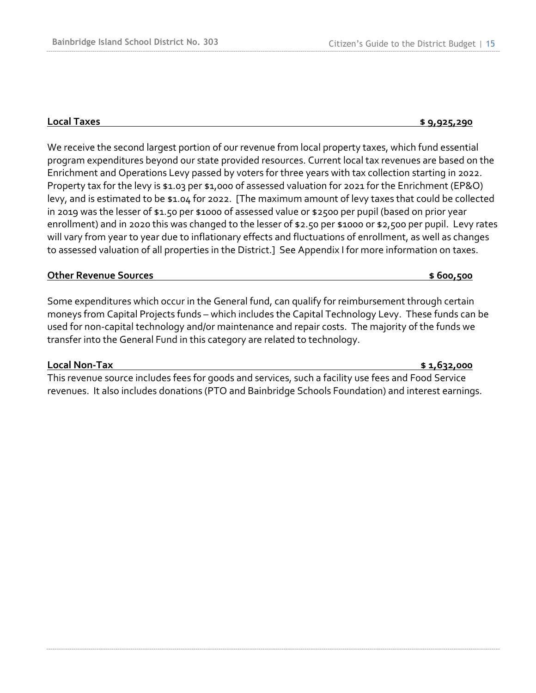#### **Local Taxes \$ 9,925,290**

We receive the second largest portion of our revenue from local property taxes, which fund essential program expenditures beyond our state provided resources. Current local tax revenues are based on the Enrichment and Operations Levy passed by voters for three years with tax collection starting in 2022. Property tax for the levy is \$1.03 per \$1,000 of assessed valuation for 2021 for the Enrichment (EP&O) levy, and is estimated to be \$1.04 for 2022. [The maximum amount of levy taxes that could be collected in 2019 was the lesser of \$1.50 per \$1000 of assessed value or \$2500 per pupil (based on prior year enrollment) and in 2020 this was changed to the lesser of \$2.50 per \$1000 or \$2,500 per pupil. Levy rates will vary from year to year due to inflationary effects and fluctuations of enrollment, as well as changes to assessed valuation of all properties in the District.] See Appendix I for more information on taxes.

#### **Other Revenue Sources by a contract of the set of the set of the set of the set of the set of the set of the set of the set of the set of the set of the set of the set of the set of the set of the set of the set of the**

Some expenditures which occur in the General fund, can qualify for reimbursement through certain moneys from Capital Projects funds – which includes the Capital Technology Levy. These funds can be used for non-capital technology and/or maintenance and repair costs. The majority of the funds we transfer into the General Fund in this category are related to technology.

#### **Local Non-Tax \$ 1,632,000**

This revenue source includes fees for goods and services, such a facility use fees and Food Service revenues. It also includes donations (PTO and Bainbridge Schools Foundation) and interest earnings.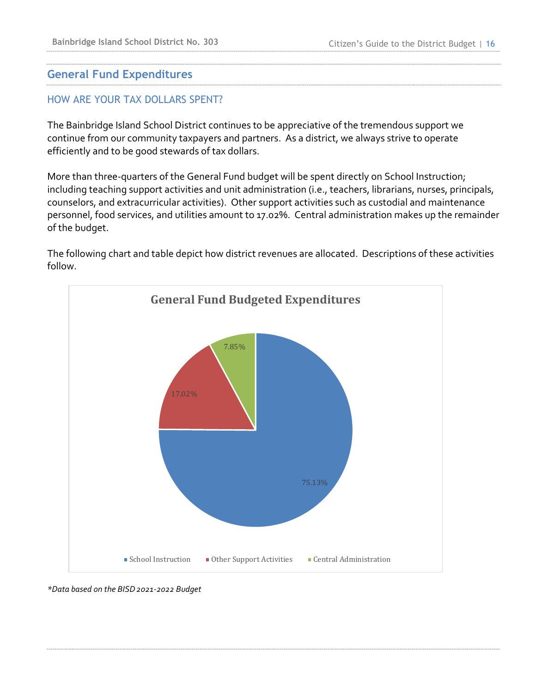## **General Fund Expenditures**

### HOW ARE YOUR TAX DOLLARS SPENT?

The Bainbridge Island School District continues to be appreciative of the tremendous support we continue from our community taxpayers and partners. As a district, we always strive to operate efficiently and to be good stewards of tax dollars.

More than three-quarters of the General Fund budget will be spent directly on School Instruction; including teaching support activities and unit administration (i.e., teachers, librarians, nurses, principals, counselors, and extracurricular activities). Other support activities such as custodial and maintenance personnel, food services, and utilities amount to 17.02%. Central administration makes up the remainder of the budget.

The following chart and table depict how district revenues are allocated. Descriptions of these activities follow.



*\*Data based on the BISD2021-2022 Budget*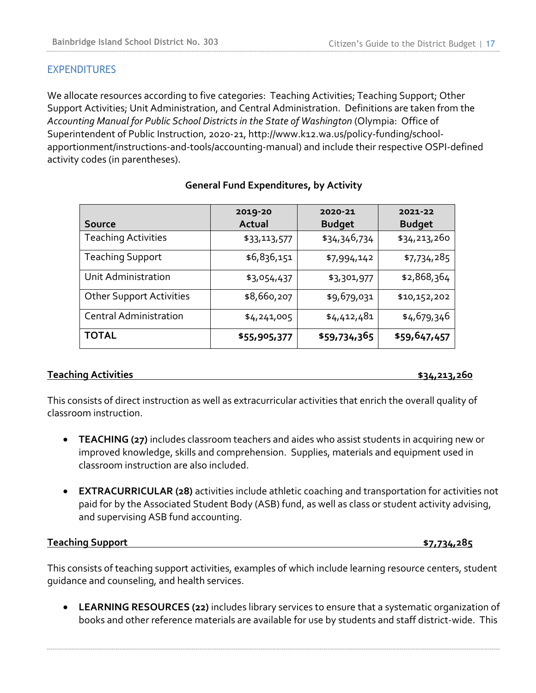### **EXPENDITURES**

We allocate resources according to five categories: Teaching Activities; Teaching Support; Other Support Activities; Unit Administration, and Central Administration. Definitions are taken from the *Accounting Manual for Public School Districts in the State of Washington* (Olympia: Office of Superintendent of Public Instruction, 2020-21, http://www.k12.wa.us/policy-funding/schoolapportionment/instructions-and-tools/accounting-manual) and include their respective OSPI-defined activity codes (in parentheses).

| <b>Source</b>                   | 2019-20<br>Actual | 2020-21<br><b>Budget</b> | 2021-22<br><b>Budget</b> |
|---------------------------------|-------------------|--------------------------|--------------------------|
| <b>Teaching Activities</b>      | \$33,113,577      | \$34,346,734             | \$34,213,260             |
| <b>Teaching Support</b>         | \$6,836,151       | \$7,994,142              | \$7,734,285              |
| Unit Administration             | \$3,054,437       | \$3,301,977              | \$2,868,364              |
| <b>Other Support Activities</b> | \$8,660,207       | \$9,679,031              | \$10,152,202             |
| <b>Central Administration</b>   | \$4,241,005       | \$4,412,481              | \$4,679,346              |
| <b>TOTAL</b>                    | \$55,905,377      | \$59,734,365             | \$59,647,457             |

#### **General Fund Expenditures, by Activity**

#### **Teaching Activities \$34,213,260**

This consists of direct instruction as well as extracurricular activities that enrich the overall quality of classroom instruction.

- **TEACHING (27)** includes classroom teachers and aides who assist students in acquiring new or improved knowledge, skills and comprehension. Supplies, materials and equipment used in classroom instruction are also included.
- **EXTRACURRICULAR (28)** activities include athletic coaching and transportation for activities not paid for by the Associated Student Body (ASB) fund, as well as class or student activity advising, and supervising ASB fund accounting.

**Teaching Support \$7,734,285**

This consists of teaching support activities, examples of which include learning resource centers, student guidance and counseling, and health services.

• **LEARNING RESOURCES (22)** includes library services to ensure that a systematic organization of books and other reference materials are available for use by students and staff district-wide. This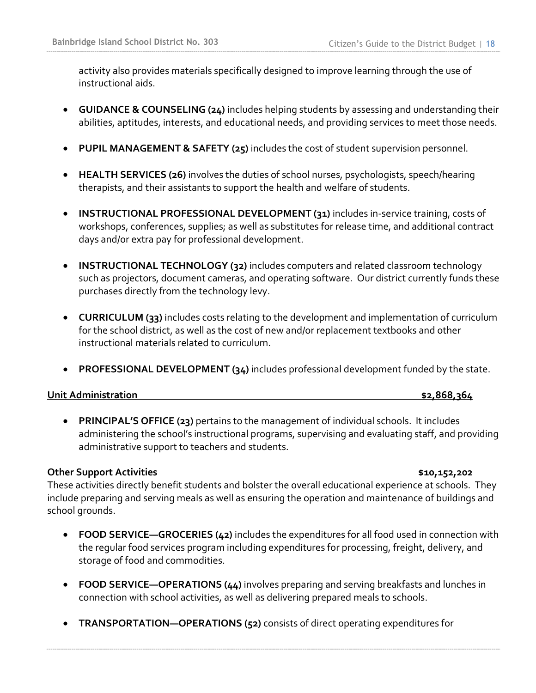activity also provides materials specifically designed to improve learning through the use of instructional aids.

- **GUIDANCE & COUNSELING (24)** includes helping students by assessing and understanding their abilities, aptitudes, interests, and educational needs, and providing services to meet those needs.
- **PUPIL MANAGEMENT & SAFETY (25)** includes the cost of student supervision personnel.
- **HEALTH SERVICES (26)** involves the duties of school nurses, psychologists, speech/hearing therapists, and their assistants to support the health and welfare of students.
- **INSTRUCTIONAL PROFESSIONAL DEVELOPMENT (31)** includes in-service training, costs of workshops, conferences, supplies; as well as substitutes for release time, and additional contract days and/or extra pay for professional development.
- **INSTRUCTIONAL TECHNOLOGY (32)** includes computers and related classroom technology such as projectors, document cameras, and operating software. Our district currently funds these purchases directly from the technology levy.
- **CURRICULUM (33)** includes costs relating to the development and implementation of curriculum for the school district, as well as the cost of new and/or replacement textbooks and other instructional materials related to curriculum.
- **PROFESSIONAL DEVELOPMENT (34)** includes professional development funded by the state.

#### **Unit Administration \$2,868,364**

• **PRINCIPAL'S OFFICE (23)** pertains to the management of individual schools. It includes administering the school's instructional programs, supervising and evaluating staff, and providing administrative support to teachers and students.

#### **Other Support Activities \$10,152,202**

These activities directly benefit students and bolster the overall educational experience at schools. They include preparing and serving meals as well as ensuring the operation and maintenance of buildings and school grounds.

- **FOOD SERVICE—GROCERIES (42)** includes the expenditures for all food used in connection with the regular food services program including expenditures for processing, freight, delivery, and storage of food and commodities.
- **FOOD SERVICE—OPERATIONS (44)** involves preparing and serving breakfasts and lunches in connection with school activities, as well as delivering prepared meals to schools.
- **TRANSPORTATION—OPERATIONS (52)** consists of direct operating expenditures for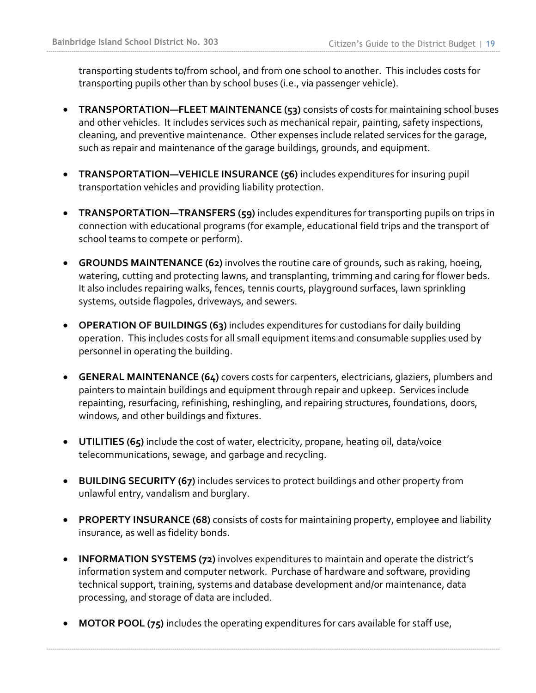transporting students to/from school, and from one school to another. This includes costs for transporting pupils other than by school buses (i.e., via passenger vehicle).

- **TRANSPORTATION—FLEET MAINTENANCE (53)** consists of costs for maintaining school buses and other vehicles. It includes services such as mechanical repair, painting, safety inspections, cleaning, and preventive maintenance. Other expenses include related services for the garage, such as repair and maintenance of the garage buildings, grounds, and equipment.
- **TRANSPORTATION—VEHICLE INSURANCE (56)** includes expenditures for insuring pupil transportation vehicles and providing liability protection.
- **TRANSPORTATION—TRANSFERS (59)** includes expenditures for transporting pupils on trips in connection with educational programs (for example, educational field trips and the transport of school teams to compete or perform).
- **GROUNDS MAINTENANCE (62)** involves the routine care of grounds, such as raking, hoeing, watering, cutting and protecting lawns, and transplanting, trimming and caring for flower beds. It also includes repairing walks, fences, tennis courts, playground surfaces, lawn sprinkling systems, outside flagpoles, driveways, and sewers.
- **OPERATION OF BUILDINGS (63)** includes expenditures for custodians for daily building operation. This includes costs for all small equipment items and consumable supplies used by personnel in operating the building.
- **GENERAL MAINTENANCE (64)** covers costs for carpenters, electricians, glaziers, plumbers and painters to maintain buildings and equipment through repair and upkeep. Services include repainting, resurfacing, refinishing, reshingling, and repairing structures, foundations, doors, windows, and other buildings and fixtures.
- **UTILITIES (65)** include the cost of water, electricity, propane, heating oil, data/voice telecommunications, sewage, and garbage and recycling.
- **BUILDING SECURITY (67)** includes services to protect buildings and other property from unlawful entry, vandalism and burglary.
- **PROPERTY INSURANCE (68)** consists of costs for maintaining property, employee and liability insurance, as well as fidelity bonds.
- **INFORMATION SYSTEMS (72)** involves expenditures to maintain and operate the district's information system and computer network. Purchase of hardware and software, providing technical support, training, systems and database development and/or maintenance, data processing, and storage of data are included.
- **MOTOR POOL (75)** includes the operating expenditures for cars available for staff use,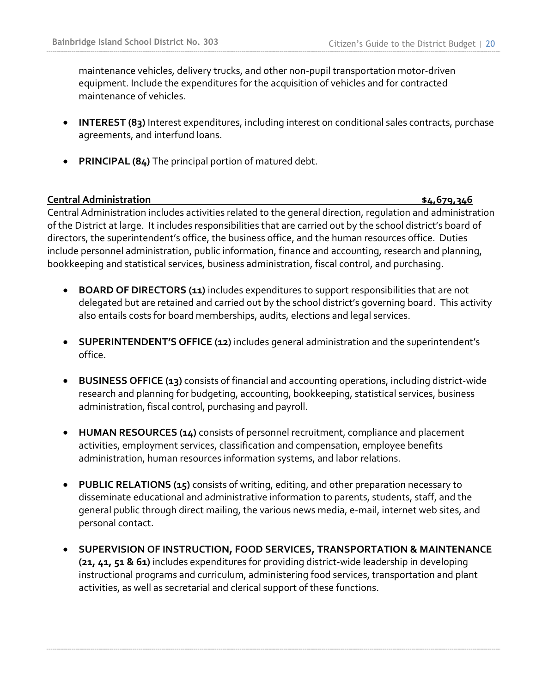maintenance vehicles, delivery trucks, and other non-pupil transportation motor-driven equipment. Include the expenditures for the acquisition of vehicles and for contracted maintenance of vehicles.

- **INTEREST (83)** Interest expenditures, including interest on conditional sales contracts, purchase agreements, and interfund loans.
- **PRINCIPAL (84)** The principal portion of matured debt.

**Central Administration \$4,679,346**

Central Administration includes activities related to the general direction, regulation and administration of the District at large. It includes responsibilities that are carried out by the school district's board of directors, the superintendent's office, the business office, and the human resources office. Duties include personnel administration, public information, finance and accounting, research and planning, bookkeeping and statistical services, business administration, fiscal control, and purchasing.

- **BOARD OF DIRECTORS (11)** includes expenditures to support responsibilities that are not delegated but are retained and carried out by the school district's governing board. This activity also entails costs for board memberships, audits, elections and legal services.
- **SUPERINTENDENT'S OFFICE (12)** includes general administration and the superintendent's office.
- **BUSINESS OFFICE (13)** consists of financial and accounting operations, including district-wide research and planning for budgeting, accounting, bookkeeping, statistical services, business administration, fiscal control, purchasing and payroll.
- **HUMAN RESOURCES (14)** consists of personnel recruitment, compliance and placement activities, employment services, classification and compensation, employee benefits administration, human resources information systems, and labor relations.
- **PUBLIC RELATIONS (15)** consists of writing, editing, and other preparation necessary to disseminate educational and administrative information to parents, students, staff, and the general public through direct mailing, the various news media, e-mail, internet web sites, and personal contact.
- **SUPERVISION OF INSTRUCTION, FOOD SERVICES, TRANSPORTATION & MAINTENANCE (21, 41, 51 & 61)** includes expenditures for providing district-wide leadership in developing instructional programs and curriculum, administering food services, transportation and plant activities, as well as secretarial and clerical support of these functions.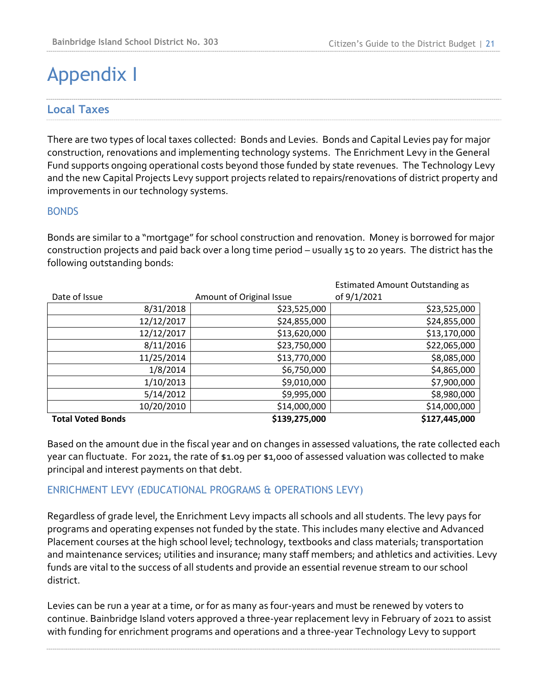# Appendix I

## **Local Taxes**

There are two types of local taxes collected: Bonds and Levies. Bonds and Capital Levies pay for major construction, renovations and implementing technology systems. The Enrichment Levy in the General Fund supports ongoing operational costs beyond those funded by state revenues. The Technology Levy and the new Capital Projects Levy support projects related to repairs/renovations of district property and improvements in our technology systems.

#### BONDS

Bonds are similar to a "mortgage" for school construction and renovation. Money is borrowed for major construction projects and paid back over a long time period – usually 15 to 20 years. The district has the following outstanding bonds:

|                          |                          | <b>Estimated Amount Outstanding as</b> |
|--------------------------|--------------------------|----------------------------------------|
| Date of Issue            | Amount of Original Issue | of 9/1/2021                            |
| 8/31/2018                | \$23,525,000             | \$23,525,000                           |
| 12/12/2017               | \$24,855,000             | \$24,855,000                           |
| 12/12/2017               | \$13,620,000             | \$13,170,000                           |
| 8/11/2016                | \$23,750,000             | \$22,065,000                           |
| 11/25/2014               | \$13,770,000             | \$8,085,000                            |
| 1/8/2014                 | \$6,750,000              | \$4,865,000                            |
| 1/10/2013                | \$9,010,000              | \$7,900,000                            |
| 5/14/2012                | \$9,995,000              | \$8,980,000                            |
| 10/20/2010               | \$14,000,000             | \$14,000,000                           |
| <b>Total Voted Bonds</b> | \$139,275,000            | \$127,445,000                          |

Based on the amount due in the fiscal year and on changes in assessed valuations, the rate collected each year can fluctuate. For 2021, the rate of \$1.09 per \$1,000 of assessed valuation was collected to make principal and interest payments on that debt.

## ENRICHMENT LEVY (EDUCATIONAL PROGRAMS & OPERATIONS LEVY)

Regardless of grade level, the Enrichment Levy impacts all schools and all students. The levy pays for programs and operating expenses not funded by the state. This includes many elective and Advanced Placement courses at the high school level; technology, textbooks and class materials; transportation and maintenance services; utilities and insurance; many staff members; and athletics and activities. Levy funds are vital to the success of all students and provide an essential revenue stream to our school district.

Levies can be run a year at a time, or for as many as four-years and must be renewed by voters to continue. Bainbridge Island voters approved a three-year replacement levy in February of 2021 to assist with funding for enrichment programs and operations and a three-year Technology Levy to support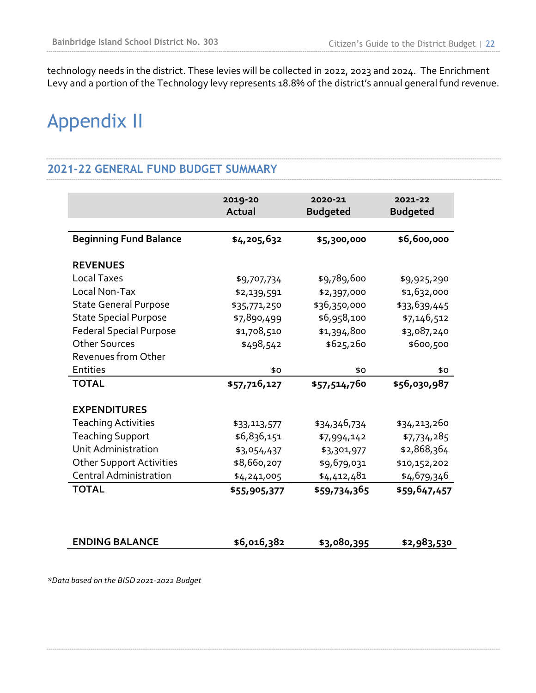technology needs in the district. These levies will be collected in 2022, 2023 and 2024. The Enrichment Levy and a portion of the Technology levy represents 18.8% of the district's annual general fund revenue.

# Appendix II

### **2021-22 GENERAL FUND BUDGET SUMMARY**

|                                 | 2019-20<br>Actual | 2020-21<br><b>Budgeted</b> | 2021-22<br><b>Budgeted</b> |
|---------------------------------|-------------------|----------------------------|----------------------------|
| <b>Beginning Fund Balance</b>   | \$4,205,632       | \$5,300,000                | \$6,600,000                |
| <b>REVENUES</b>                 |                   |                            |                            |
| <b>Local Taxes</b>              | \$9,707,734       | \$9,789,600                | \$9,925,290                |
| Local Non-Tax                   | \$2,139,591       | \$2,397,000                | \$1,632,000                |
| <b>State General Purpose</b>    | \$35,771,250      | \$36,350,000               | \$33,639,445               |
| <b>State Special Purpose</b>    | \$7,890,499       | \$6,958,100                | \$7,146,512                |
| <b>Federal Special Purpose</b>  | \$1,708,510       | \$1,394,800                | \$3,087,240                |
| <b>Other Sources</b>            | \$498,542         | \$625,260                  | \$600,500                  |
| Revenues from Other             |                   |                            |                            |
| <b>Entities</b>                 | \$0               | \$0                        | \$0                        |
| <b>TOTAL</b>                    | \$57,716,127      | \$57,514,760               | \$56,030,987               |
| <b>EXPENDITURES</b>             |                   |                            |                            |
| <b>Teaching Activities</b>      | \$33,113,577      | \$34,346,734               | \$34,213,260               |
| <b>Teaching Support</b>         | \$6,836,151       | \$7,994,142                | \$7,734,285                |
| Unit Administration             | \$3,054,437       | \$3,301,977                | \$2,868,364                |
| <b>Other Support Activities</b> | \$8,660,207       | \$9,679,031                | \$10,152,202               |
| <b>Central Administration</b>   | \$4,241,005       | \$4,412,481                | \$4,679,346                |
| <b>TOTAL</b>                    | \$55,905,377      | \$59,734,365               | \$59,647,457               |
|                                 |                   |                            |                            |
| <b>ENDING BALANCE</b>           | \$6,016,382       | \$3,080,395                | \$2,983,530                |

*\*Data based on the BISD2021-2022 Budget*